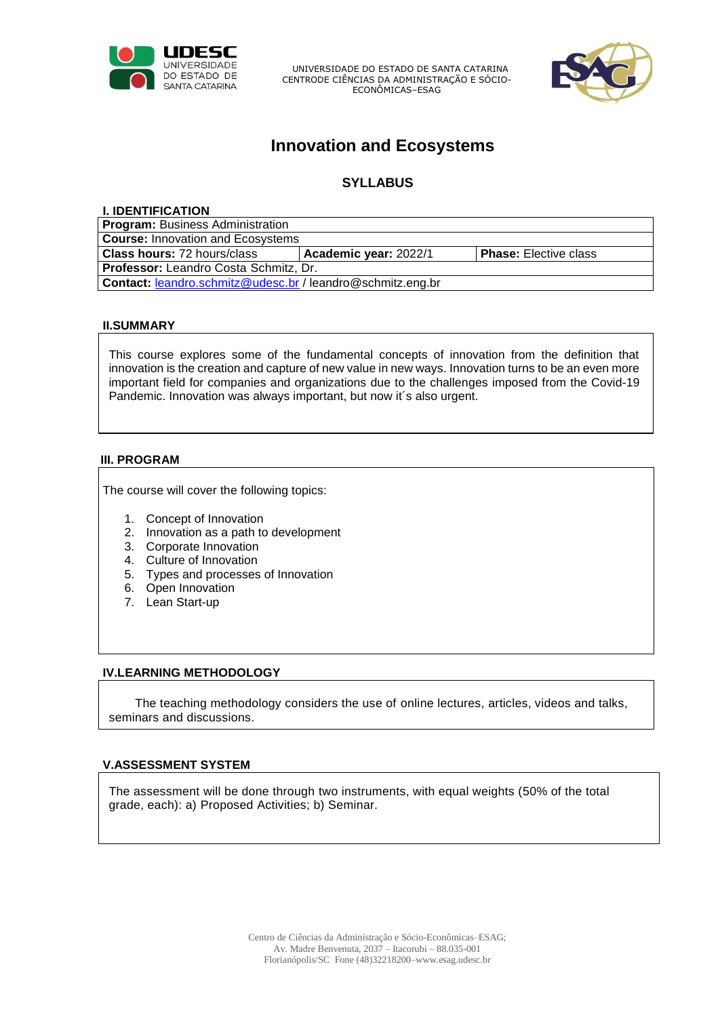

UNIVERSIDADE DO ESTADO DE SANTA CATARINA CENTRODE CIÊNCIAS DA ADMINISTRAÇÃO E SÓCIO-ECONÔMICAS–ESAG



# **Innovation and Ecosystems**

# **SYLLABUS**

#### **I. IDENTIFICATION**

**Program:** Business Administration

**Course:** Innovation and Ecosystems

**Class hours:** 72 hours/class **Academic year:** 2022/1 **Phase:** Elective class

**Professor:** Leandro Costa Schmitz, Dr.

**Contact:** [leandro.schmitz@udesc.br](mailto:leandro.schmitz@udesc.br) / leandro@schmitz.eng.br

# **II.SUMMARY**

This course explores some of the fundamental concepts of innovation from the definition that innovation is the creation and capture of new value in new ways. Innovation turns to be an even more important field for companies and organizations due to the challenges imposed from the Covid-19 Pandemic. Innovation was always important, but now it´s also urgent.

#### **III. PROGRAM**

The course will cover the following topics:

- 1. Concept of Innovation
- 2. Innovation as a path to development
- 3. Corporate Innovation
- 4. Culture of Innovation
- 5. Types and processes of Innovation
- 6. Open Innovation
- 7. Lean Start-up

# **IV.LEARNING METHODOLOGY**

The teaching methodology considers the use of online lectures, articles, videos and talks, seminars and discussions.

# **V.ASSESSMENT SYSTEM**

The assessment will be done through two instruments, with equal weights (50% of the total grade, each): a) Proposed Activities; b) Seminar.